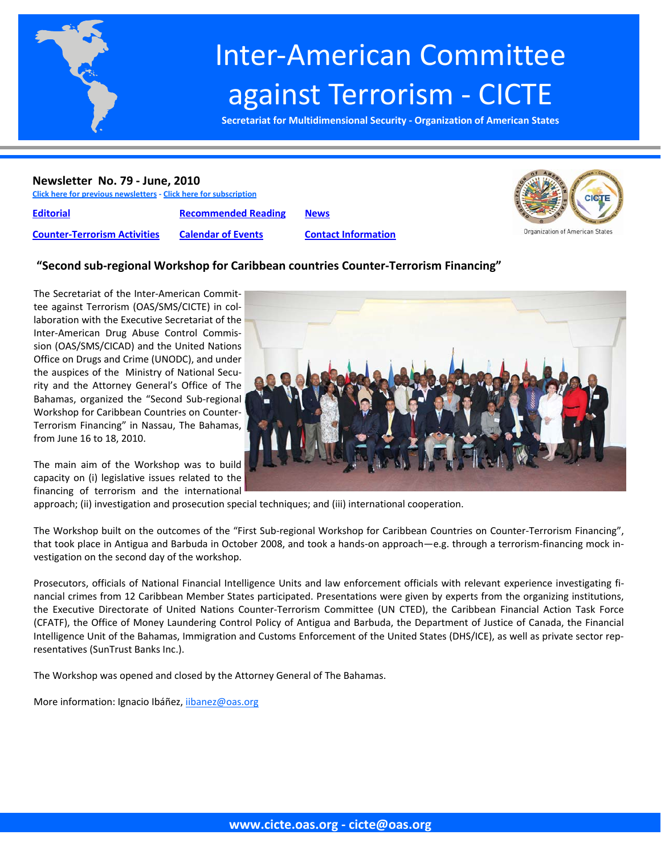

# Inter‐American Committee against Terrorism ‐ CICTE

**Secretariat for Multidimensional Security ‐ Organization of American States**

#### **Newsletter No. 79 ‐ June, 2010**

**Click here for previous [newsletters](http://www.cicte.oas.org/Rev/en/About/Newsletters/Default.asp) ‐ Click here for [subscription](www.cicte.oas.org)**

**[Editorial](#page-1-0) [Recommended](#page-8-0) Reading [News](#page-10-0)**





#### **"Second sub‐regional Workshop for Caribbean countries Counter‐Terrorism Financing"**

The Secretariat of the Inter‐American Commit‐ tee against Terrorism (OAS/SMS/CICTE) in col‐ laboration with the Executive Secretariat of the Inter‐American Drug Abuse Control Commis‐ sion (OAS/SMS/CICAD) and the United Nations Office on Drugs and Crime (UNODC), and under the auspices of the Ministry of National Secu‐ rity and the Attorney General's Office of The Bahamas, organized the "Second Sub‐regional Workshop for Caribbean Countries on Counter‐ Terrorism Financing" in Nassau, The Bahamas, from June 16 to 18, 2010.

The main aim of the Workshop was to build capacity on (i) legislative issues related to the financing of terrorism and the international

approach; (ii) investigation and prosecution special techniques; and (iii) international cooperation.

The Workshop built on the outcomes of the "First Sub-regional Workshop for Caribbean Countries on Counter-Terrorism Financing", that took place in Antigua and Barbuda in October 2008, and took a hands-on approach—e.g. through a terrorism-financing mock investigation on the second day of the workshop.

Prosecutors, officials of National Financial Intelligence Units and law enforcement officials with relevant experience investigating fi‐ nancial crimes from 12 Caribbean Member States participated. Presentations were given by experts from the organizing institutions, the Executive Directorate of United Nations Counter‐Terrorism Committee (UN CTED), the Caribbean Financial Action Task Force (CFATF), the Office of Money Laundering Control Policy of Antigua and Barbuda, the Department of Justice of Canada, the Financial Intelligence Unit of the Bahamas, Immigration and Customs Enforcement of the United States (DHS/ICE), as well as private sector rep‐ resentatives (SunTrust Banks Inc.).

The Workshop was opened and closed by the Attorney General of The Bahamas.

More information: Ignacio Ibáñez, iibanez@oas.org

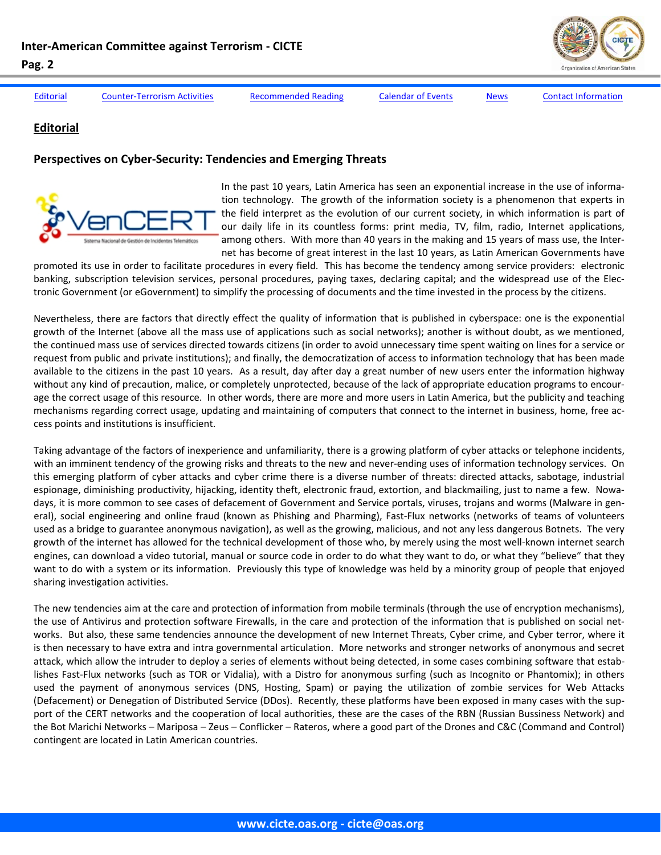

<span id="page-1-0"></span>Editorial Counter-[Terrorism](#page-3-0) Activities [Recommended](#page-8-0) Reading [Calendar](#page-9-0) of Events [News](#page-10-0) Contact [Information](#page-14-0)

#### **Editorial**

#### **Perspectives on Cyber‐Security: Tendencies and Emerging Threats**



In the past 10 years, Latin America has seen an exponential increase in the use of information technology. The growth of the information society is a phenomenon that experts in the field interpret as the evolution of our current society, in which information is part of our daily life in its countless forms: print media, TV, film, radio, Internet applications, among others. With more than 40 years in the making and 15 years of mass use, the Inter‐ net has become of great interest in the last 10 years, as Latin American Governments have

promoted its use in order to facilitate procedures in every field. This has become the tendency among service providers: electronic banking, subscription television services, personal procedures, paying taxes, declaring capital; and the widespread use of the Elec‐ tronic Government (or eGovernment) to simplify the processing of documents and the time invested in the process by the citizens.

Nevertheless, there are factors that directly effect the quality of information that is published in cyberspace: one is the exponential growth of the Internet (above all the mass use of applications such as social networks); another is without doubt, as we mentioned, the continued mass use of services directed towards citizens (in order to avoid unnecessary time spent waiting on lines for a service or request from public and private institutions); and finally, the democratization of access to information technology that has been made available to the citizens in the past 10 years. As a result, day after day a great number of new users enter the information highway without any kind of precaution, malice, or completely unprotected, because of the lack of appropriate education programs to encourage the correct usage of this resource. In other words, there are more and more users in Latin America, but the publicity and teaching mechanisms regarding correct usage, updating and maintaining of computers that connect to the internet in business, home, free ac‐ cess points and institutions is insufficient.

Taking advantage of the factors of inexperience and unfamiliarity, there is a growing platform of cyber attacks or telephone incidents, with an imminent tendency of the growing risks and threats to the new and never-ending uses of information technology services. On this emerging platform of cyber attacks and cyber crime there is a diverse number of threats: directed attacks, sabotage, industrial espionage, diminishing productivity, hijacking, identity theft, electronic fraud, extortion, and blackmailing, just to name a few. Nowadays, it is more common to see cases of defacement of Government and Service portals, viruses, trojans and worms (Malware in gen‐ eral), social engineering and online fraud (known as Phishing and Pharming), Fast-Flux networks (networks of teams of volunteers used as a bridge to guarantee anonymous navigation), as well as the growing, malicious, and not any less dangerous Botnets. The very growth of the internet has allowed for the technical development of those who, by merely using the most well-known internet search engines, can download a video tutorial, manual or source code in order to do what they want to do, or what they "believe" that they want to do with a system or its information. Previously this type of knowledge was held by a minority group of people that enjoyed sharing investigation activities.

The new tendencies aim at the care and protection of information from mobile terminals (through the use of encryption mechanisms), the use of Antivirus and protection software Firewalls, in the care and protection of the information that is published on social net‐ works. But also, these same tendencies announce the development of new Internet Threats, Cyber crime, and Cyber terror, where it is then necessary to have extra and intra governmental articulation. More networks and stronger networks of anonymous and secret attack, which allow the intruder to deploy a series of elements without being detected, in some cases combining software that estab‐ lishes Fast‐Flux networks (such as TOR or Vidalia), with a Distro for anonymous surfing (such as Incognito or Phantomix); in others used the payment of anonymous services (DNS, Hosting, Spam) or paying the utilization of zombie services for Web Attacks (Defacement) or Denegation of Distributed Service (DDos). Recently, these platforms have been exposed in many cases with the sup‐ port of the CERT networks and the cooperation of local authorities, these are the cases of the RBN (Russian Bussiness Network) and the Bot Marichi Networks – Mariposa – Zeus – Conflicker – Rateros, where a good part of the Drones and C&C (Command and Control) contingent are located in Latin American countries.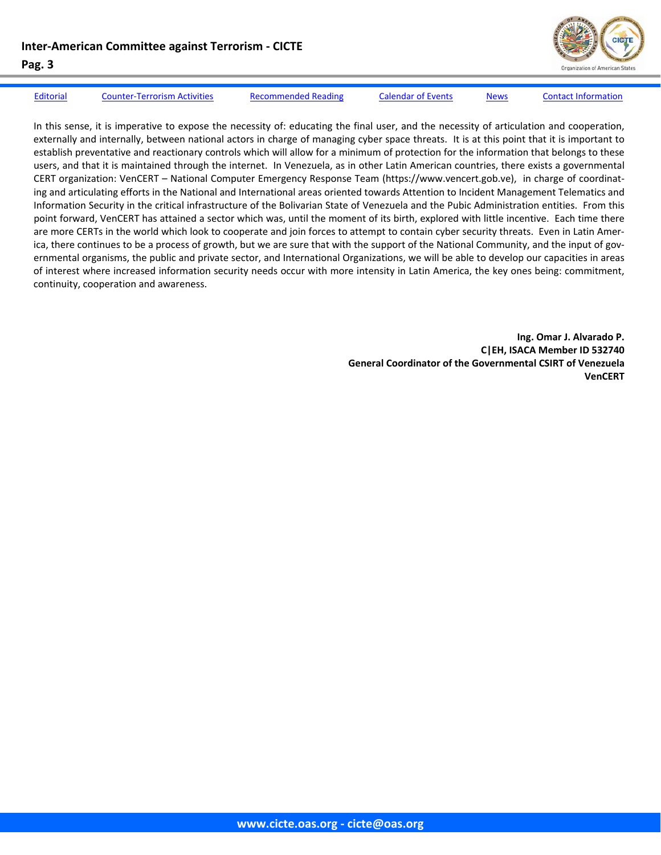

[Editorial](#page-1-0) Counter-[Terrorism](#page-3-0) Activities [Recommended](#page-8-0) Reading [Calendar](#page-9-0) of Events [News](#page-10-0) Contact [Information](#page-14-0)

In this sense, it is imperative to expose the necessity of: educating the final user, and the necessity of articulation and cooperation, externally and internally, between national actors in charge of managing cyber space threats. It is at this point that it is important to establish preventative and reactionary controls which will allow for a minimum of protection for the information that belongs to these users, and that it is maintained through the internet. In Venezuela, as in other Latin American countries, there exists a governmental CERT organization: VenCERT – National Computer Emergency Response Team (https://www.vencert.gob.ve), in charge of coordinat‐ ing and articulating efforts in the National and International areas oriented towards Attention to Incident Management Telematics and Information Security in the critical infrastructure of the Bolivarian State of Venezuela and the Pubic Administration entities. From this point forward, VenCERT has attained a sector which was, until the moment of its birth, explored with little incentive. Each time there are more CERTs in the world which look to cooperate and join forces to attempt to contain cyber security threats. Even in Latin America, there continues to be a process of growth, but we are sure that with the support of the National Community, and the input of governmental organisms, the public and private sector, and International Organizations, we will be able to develop our capacities in areas of interest where increased information security needs occur with more intensity in Latin America, the key ones being: commitment, continuity, cooperation and awareness.

> **Ing. Omar J. Alvarado P. C|EH, ISACA Member ID 532740 General Coordinator of the Governmental CSIRT of Venezuela VenCERT**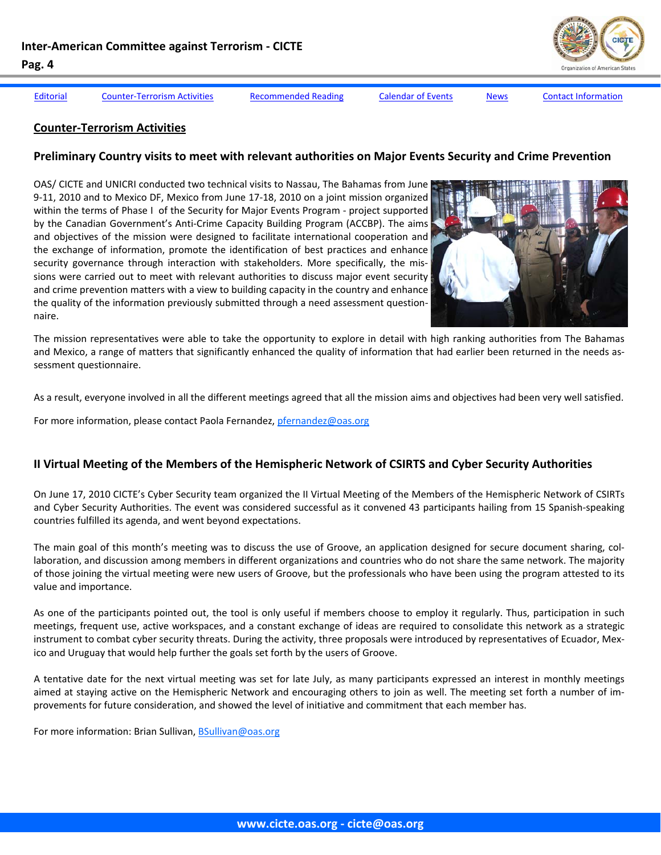<span id="page-3-0"></span>

[Editorial](#page-1-0) Counter-Terrorism Activities [Recommended](#page-8-0) Reading [Calendar](#page-9-0) of Events [News](#page-10-0) Contact [Information](#page-14-0)

#### **Counter‐Terrorism Activities**

#### **Preliminary Country visits to meet with relevant authorities on Major Events Security and Crime Prevention**

OAS/ CICTE and UNICRI conducted two technical visits to Nassau, The Bahamas from June 9‐11, 2010 and to Mexico DF, Mexico from June 17‐18, 2010 on a joint mission organized within the terms of Phase I of the Security for Major Events Program ‐ project supported by the Canadian Government's Anti‐Crime Capacity Building Program (ACCBP). The aims and objectives of the mission were designed to facilitate international cooperation and the exchange of information, promote the identification of best practices and enhance security governance through interaction with stakeholders. More specifically, the missions were carried out to meet with relevant authorities to discuss major event security and crime prevention matters with a view to building capacity in the country and enhance the quality of the information previously submitted through a need assessment question‐ naire.



The mission representatives were able to take the opportunity to explore in detail with high ranking authorities from The Bahamas and Mexico, a range of matters that significantly enhanced the quality of information that had earlier been returned in the needs assessment questionnaire.

As a result, everyone involved in all the different meetings agreed that all the mission aims and objectives had been very well satisfied.

For more information, please contact Paola Fernandez, pfernandez@oas.org

#### **II Virtual Meeting of the Members of the Hemispheric Network of CSIRTS and Cyber Security Authorities**

On June 17, 2010 CICTE's Cyber Security team organized the II Virtual Meeting of the Members of the Hemispheric Network of CSIRTs and Cyber Security Authorities. The event was considered successful as it convened 43 participants hailing from 15 Spanish‐speaking countries fulfilled its agenda, and went beyond expectations.

The main goal of this month's meeting was to discuss the use of Groove, an application designed for secure document sharing, col‐ laboration, and discussion among members in different organizations and countries who do not share the same network. The majority of those joining the virtual meeting were new users of Groove, but the professionals who have been using the program attested to its value and importance.

As one of the participants pointed out, the tool is only useful if members choose to employ it regularly. Thus, participation in such meetings, frequent use, active workspaces, and a constant exchange of ideas are required to consolidate this network as a strategic instrument to combat cyber security threats. During the activity, three proposals were introduced by representatives of Ecuador, Mexico and Uruguay that would help further the goals set forth by the users of Groove.

A tentative date for the next virtual meeting was set for late July, as many participants expressed an interest in monthly meetings aimed at staying active on the Hemispheric Network and encouraging others to join as well. The meeting set forth a number of im‐ provements for future consideration, and showed the level of initiative and commitment that each member has.

For more information: Brian Sullivan, BSullivan@oas.org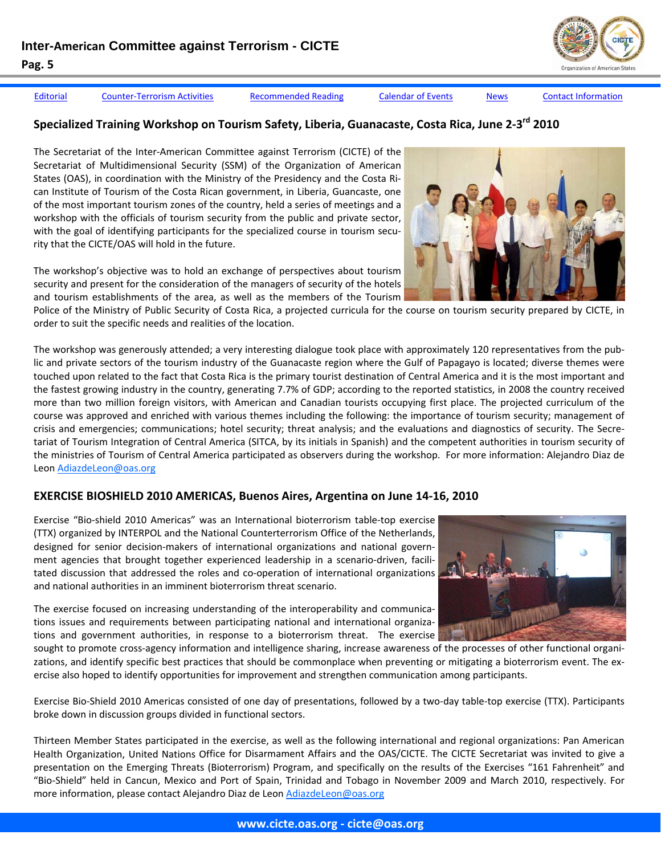

[Editorial](#page-1-0) Counter-[Terrorism](#page-3-0) Activities [Recommended](#page-8-0) Reading [Calendar](#page-9-0) of Events [News](#page-10-0) Contact [Information](#page-14-0)

## **Specialized Training Workshop on Tourism Safety, Liberia, Guanacaste, Costa Rica, June 2‐3rd 2010**

The Secretariat of the Inter‐American Committee against Terrorism (CICTE) of the Secretariat of Multidimensional Security (SSM) of the Organization of American States (OAS), in coordination with the Ministry of the Presidency and the Costa Ri‐ can Institute of Tourism of the Costa Rican government, in Liberia, Guancaste, one of the most important tourism zones of the country, held a series of meetings and a workshop with the officials of tourism security from the public and private sector, with the goal of identifying participants for the specialized course in tourism security that the CICTE/OAS will hold in the future.

The workshop's objective was to hold an exchange of perspectives about tourism security and present for the consideration of the managers of security of the hotels and tourism establishments of the area, as well as the members of the Tourism

Police of the Ministry of Public Security of Costa Rica, a projected curricula for the course on tourism security prepared by CICTE, in order to suit the specific needs and realities of the location.

The workshop was generously attended; a very interesting dialogue took place with approximately 120 representatives from the pub‐ lic and private sectors of the tourism industry of the Guanacaste region where the Gulf of Papagayo is located; diverse themes were touched upon related to the fact that Costa Rica is the primary tourist destination of Central America and it is the most important and the fastest growing industry in the country, generating 7.7% of GDP; according to the reported statistics, in 2008 the country received more than two million foreign visitors, with American and Canadian tourists occupying first place. The projected curriculum of the course was approved and enriched with various themes including the following: the importance of tourism security; management of crisis and emergencies; communications; hotel security; threat analysis; and the evaluations and diagnostics of security. The Secre‐ tariat of Tourism Integration of Central America (SITCA, by its initials in Spanish) and the competent authorities in tourism security of the ministries of Tourism of Central America participated as observers during the workshop. For more information: Alejandro Diaz de Leon AdiazdeLeon@oas.org

#### **EXERCISE BIOSHIELD 2010 AMERICAS, Buenos Aires, Argentina on June 14‐16, 2010**

Exercise "Bio‐shield 2010 Americas" was an International bioterrorism table‐top exercise (TTX) organized by INTERPOL and the National Counterterrorism Office of the Netherlands, designed for senior decision-makers of international organizations and national government agencies that brought together experienced leadership in a scenario-driven, facilitated discussion that addressed the roles and co-operation of international organizations and national authorities in an imminent bioterrorism threat scenario.

The exercise focused on increasing understanding of the interoperability and communica‐ tions issues and requirements between participating national and international organiza‐ tions and government authorities, in response to a bioterrorism threat. The exercise

sought to promote cross-agency information and intelligence sharing, increase awareness of the processes of other functional organizations, and identify specific best practices that should be commonplace when preventing or mitigating a bioterrorism event. The ex‐ ercise also hoped to identify opportunities for improvement and strengthen communication among participants.

Exercise Bio‐Shield 2010 Americas consisted of one day of presentations, followed by a two‐day table‐top exercise (TTX). Participants broke down in discussion groups divided in functional sectors.

Thirteen Member States participated in the exercise, as well as the following international and regional organizations: Pan American Health Organization, United Nations Office for Disarmament Affairs and the OAS/CICTE. The CICTE Secretariat was invited to give a presentation on the Emerging Threats (Bioterrorism) Program, and specifically on the results of the Exercises "161 Fahrenheit" and "Bio‐Shield" held in Cancun, Mexico and Port of Spain, Trinidad and Tobago in November 2009 and March 2010, respectively. For more information, please contact Alejandro Diaz de Leon AdiazdeLeon@oas.org

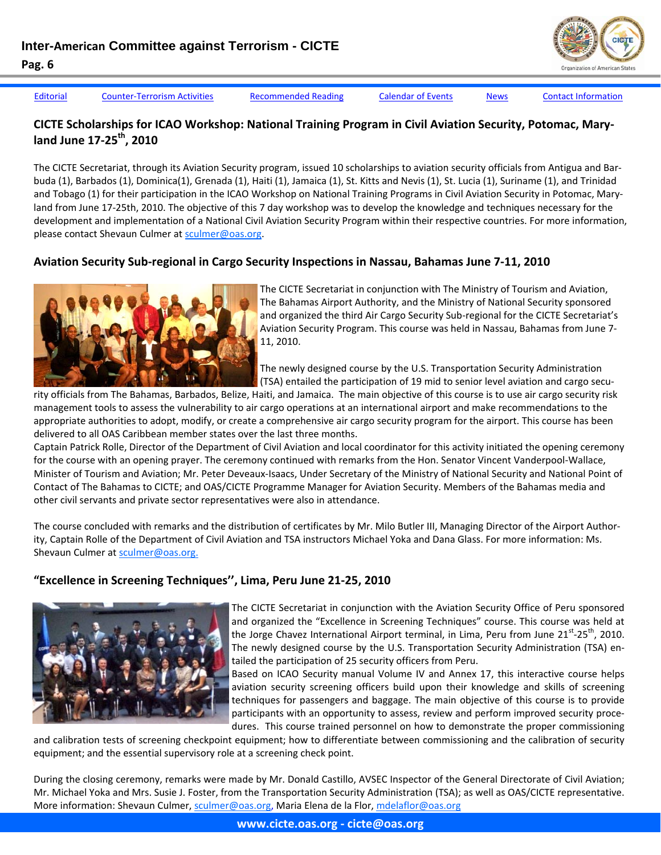[Editorial](#page-1-0) Counter-[Terrorism](#page-3-0) Activities [Recommended](#page-8-0) Reading [Calendar](#page-9-0) of Events [News](#page-10-0) Contact [Information](#page-14-0)

#### **CICTE Scholarships for ICAO Workshop: National Training Program in Civil Aviation Security, Potomac, Mary‐ land June 17‐25th, 2010**

The CICTE Secretariat, through its Aviation Security program, issued 10 scholarships to aviation security officials from Antigua and Bar‐ buda (1), Barbados (1), Dominica(1), Grenada (1), Haiti (1), Jamaica (1), St. Kitts and Nevis (1), St. Lucia (1), Suriname (1), and Trinidad and Tobago (1) for their participation in the ICAO Workshop on National Training Programs in Civil Aviation Security in Potomac, Mary‐ land from June 17‐25th, 2010. The objective of this 7 day workshop was to develop the knowledge and techniques necessary for the development and implementation of a National Civil Aviation Security Program within their respective countries. For more information, please contact Shevaun Culmer at sculmer@oas.org.

# **Aviation Security Sub‐regional in Cargo Security Inspections in Nassau, Bahamas June 7‐11, 2010**



The CICTE Secretariat in conjunction with The Ministry of Tourism and Aviation, The Bahamas Airport Authority, and the Ministry of National Security sponsored and organized the third Air Cargo Security Sub-regional for the CICTE Secretariat's Aviation Security Program. This course was held in Nassau, Bahamas from June 7‐ 11, 2010.

The newly designed course by the U.S. Transportation Security Administration (TSA) entailed the participation of 19 mid to senior level aviation and cargo secu‐

rity officials from The Bahamas, Barbados, Belize, Haiti, and Jamaica. The main objective of this course is to use air cargo security risk management tools to assess the vulnerability to air cargo operations at an international airport and make recommendations to the appropriate authorities to adopt, modify, or create a comprehensive air cargo security program for the airport. This course has been delivered to all OAS Caribbean member states over the last three months.

Captain Patrick Rolle, Director of the Department of Civil Aviation and local coordinator for this activity initiated the opening ceremony for the course with an opening prayer. The ceremony continued with remarks from the Hon. Senator Vincent Vanderpool‐Wallace, Minister of Tourism and Aviation; Mr. Peter Deveaux‐Isaacs, Under Secretary of the Ministry of National Security and National Point of Contact of The Bahamas to CICTE; and OAS/CICTE Programme Manager for Aviation Security. Members of the Bahamas media and other civil servants and private sector representatives were also in attendance.

The course concluded with remarks and the distribution of certificates by Mr. Milo Butler III, Managing Director of the Airport Author‐ ity, Captain Rolle of the Department of Civil Aviation and TSA instructors Michael Yoka and Dana Glass. For more information: Ms. Shevaun Culmer at sculmer@oas.org.

#### **"Excellence in Screening Techniques'', Lima, Peru June 21‐25, 2010**



The CICTE Secretariat in conjunction with the Aviation Security Office of Peru sponsored and organized the "Excellence in Screening Techniques" course. This course was held at the Jorge Chavez International Airport terminal, in Lima, Peru from June 21<sup>st</sup>-25<sup>th</sup>, 2010. The newly designed course by the U.S. Transportation Security Administration (TSA) en‐ tailed the participation of 25 security officers from Peru.

Based on ICAO Security manual Volume IV and Annex 17, this interactive course helps aviation security screening officers build upon their knowledge and skills of screening techniques for passengers and baggage. The main objective of this course is to provide participants with an opportunity to assess, review and perform improved security procedures. This course trained personnel on how to demonstrate the proper commissioning

and calibration tests of screening checkpoint equipment; how to differentiate between commissioning and the calibration of security equipment; and the essential supervisory role at a screening check point.

During the closing ceremony, remarks were made by Mr. Donald Castillo, AVSEC Inspector of the General Directorate of Civil Aviation; Mr. Michael Yoka and Mrs. Susie J. Foster, from the Transportation Security Administration (TSA); as well as OAS/CICTE representative. More information: Shevaun Culmer, sculmer@oas.org, Maria Elena de la Flor, mdelaflor@oas.org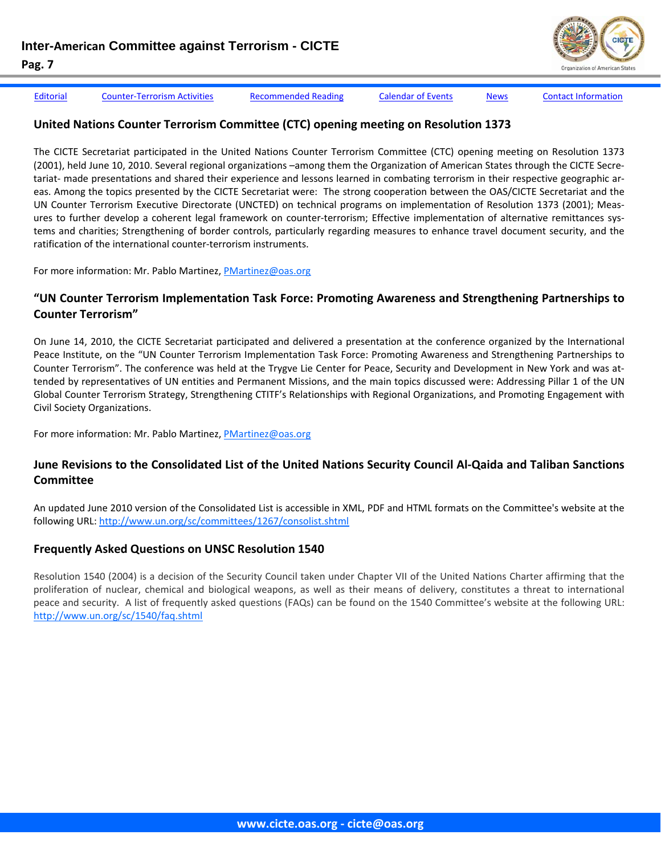

[Editorial](#page-1-0) Counter-[Terrorism](#page-3-0) Activities [Recommended](#page-8-0) Reading [Calendar](#page-9-0) of Events [News](#page-10-0) Contact [Information](#page-14-0)

#### **United Nations Counter Terrorism Committee (CTC) opening meeting on Resolution 1373**

The CICTE Secretariat participated in the United Nations Counter Terrorism Committee (CTC) opening meeting on Resolution 1373 (2001), held June 10, 2010. Several regional organizations –among them the Organization of American States through the CICTE Secre‐ tariat- made presentations and shared their experience and lessons learned in combating terrorism in their respective geographic areas. Among the topics presented by the CICTE Secretariat were: The strong cooperation between the OAS/CICTE Secretariat and the UN Counter Terrorism Executive Directorate (UNCTED) on technical programs on implementation of Resolution 1373 (2001); Meas‐ ures to further develop a coherent legal framework on counter-terrorism; Effective implementation of alternative remittances systems and charities; Strengthening of border controls, particularly regarding measures to enhance travel document security, and the ratification of the international counter‐terrorism instruments.

For more information: Mr. Pablo Martinez, PMartinez@oas.org

#### **"UN Counter Terrorism Implementation Task Force: Promoting Awareness and Strengthening Partnerships to Counter Terrorism"**

On June 14, 2010, the CICTE Secretariat participated and delivered a presentation at the conference organized by the International Peace Institute, on the "UN Counter Terrorism Implementation Task Force: Promoting Awareness and Strengthening Partnerships to Counter Terrorism". The conference was held at the Trygve Lie Center for Peace, Security and Development in New York and was at‐ tended by representatives of UN entities and Permanent Missions, and the main topics discussed were: Addressing Pillar 1 of the UN Global Counter Terrorism Strategy, Strengthening CTITF's Relationships with Regional Organizations, and Promoting Engagement with Civil Society Organizations.

For more information: Mr. Pablo Martinez, PMartinez@oas.org

#### June Revisions to the Consolidated List of the United Nations Security Council Al-Qaida and Taliban Sanctions **Committee**

An updated June 2010 version of the Consolidated List is accessible in XML, PDF and HTML formats on the Committee's website at the following URL: http://www.un.org/sc/committees/1267/consolist.shtml

#### **Frequently Asked Questions on UNSC Resolution 1540**

Resolution 1540 (2004) is a decision of the Security Council taken under Chapter VII of the United Nations Charter affirming that the proliferation of nuclear, chemical and biological weapons, as well as their means of delivery, constitutes a threat to international peace and security. A list of frequently asked questions (FAQs) can be found on the 1540 Committee's website at the following URL: http://www.un.org/sc/1540/faq.shtml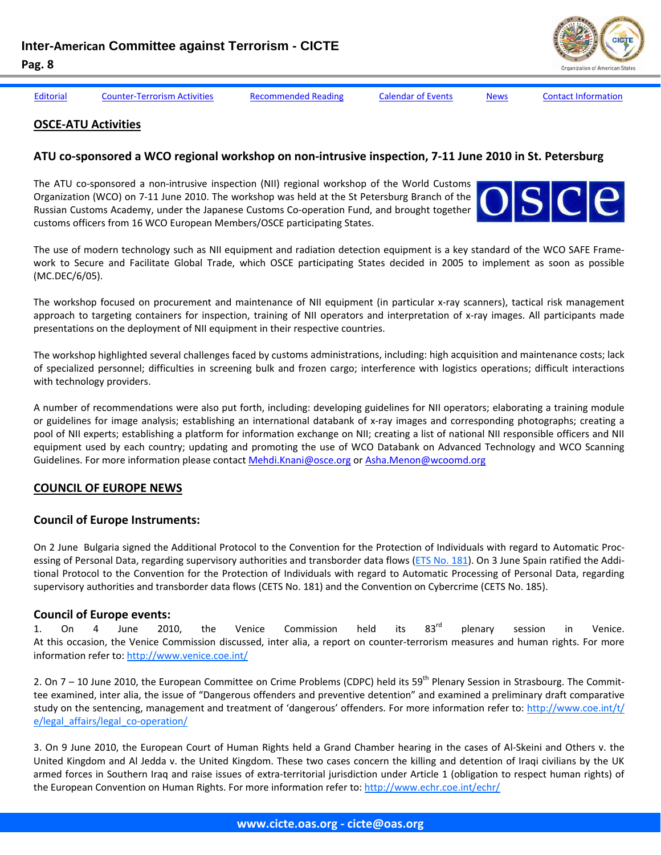[Editorial](#page-1-0) Counter-[Terrorism](#page-3-0) Activities [Recommended](#page-8-0) Reading [Calendar](#page-9-0) of Events [News](#page-10-0) Contact [Information](#page-14-0)

#### **OSCE‐ATU Activities**

#### ATU co-sponsored a WCO regional workshop on non-intrusive inspection, 7-11 June 2010 in St. Petersburg

The ATU co-sponsored a non-intrusive inspection (NII) regional workshop of the World Customs Organization (WCO) on 7‐11 June 2010. The workshop was held at the St Petersburg Branch of the Russian Customs Academy, under the Japanese Customs Co‐operation Fund, and brought together customs officers from 16 WCO European Members/OSCE participating States.



The use of modern technology such as NII equipment and radiation detection equipment is a key standard of the WCO SAFE Frame‐ work to Secure and Facilitate Global Trade, which OSCE participating States decided in 2005 to implement as soon as possible (MC.DEC/6/05).

The workshop focused on procurement and maintenance of NII equipment (in particular x-ray scanners), tactical risk management approach to targeting containers for inspection, training of NII operators and interpretation of x-ray images. All participants made presentations on the deployment of NII equipment in their respective countries.

The workshop highlighted several challenges faced by customs administrations, including: high acquisition and maintenance costs; lack of specialized personnel; difficulties in screening bulk and frozen cargo; interference with logistics operations; difficult interactions with technology providers.

A number of recommendations were also put forth, including: developing guidelines for NII operators; elaborating a training module or guidelines for image analysis; establishing an international databank of x‐ray images and corresponding photographs; creating a pool of NII experts; establishing a platform for information exchange on NII; creating a list of national NII responsible officers and NII equipment used by each country; updating and promoting the use of WCO Databank on Advanced Technology and WCO Scanning Guidelines. For more information please contact Mehdi.Knani@osce.org or Asha.Menon@wcoomd.org

#### **COUNCIL OF EUROPE NEWS**

#### **Council of Europe Instruments:**

On 2 June Bulgaria signed the Additional Protocol to the Convention for the Protection of Individuals with regard to Automatic Proc‐ essing of Personal Data, regarding supervisory authorities and transborder data flows (ETS No. 181). On 3 June Spain ratified the Additional Protocol to the Convention for the Protection of Individuals with regard to Automatic Processing of Personal Data, regarding supervisory authorities and transborder data flows (CETS No. 181) and the Convention on Cybercrime (CETS No. 185).

#### **Council of Europe events:**

1. On 4 June 2010, the Venice Commission held its 83<sup>rd</sup> plenary session in Venice. At this occasion, the Venice Commission discussed, inter alia, a report on counter‐terrorism measures and human rights. For more information refer to: http://www.venice.coe.int/

2. On  $7 - 10$  June 2010, the European Committee on Crime Problems (CDPC) held its 59<sup>th</sup> Plenary Session in Strasbourg. The Committee examined, inter alia, the issue of "Dangerous offenders and preventive detention" and examined a preliminary draft comparative study on the sentencing, management and treatment of 'dangerous' offenders. For more information refer to: http://www.coe.int/t/ e/legal\_affairs/legal\_co-operation/

3. On 9 June 2010, the European Court of Human Rights held a Grand Chamber hearing in the cases of Al‐Skeini and Others v. the United Kingdom and Al Jedda v. the United Kingdom. These two cases concern the killing and detention of Iraqi civilians by the UK armed forces in Southern Iraq and raise issues of extra-territorial jurisdiction under Article 1 (obligation to respect human rights) of the European Convention on Human Rights. For more information refer to: http://www.echr.coe.int/echr/

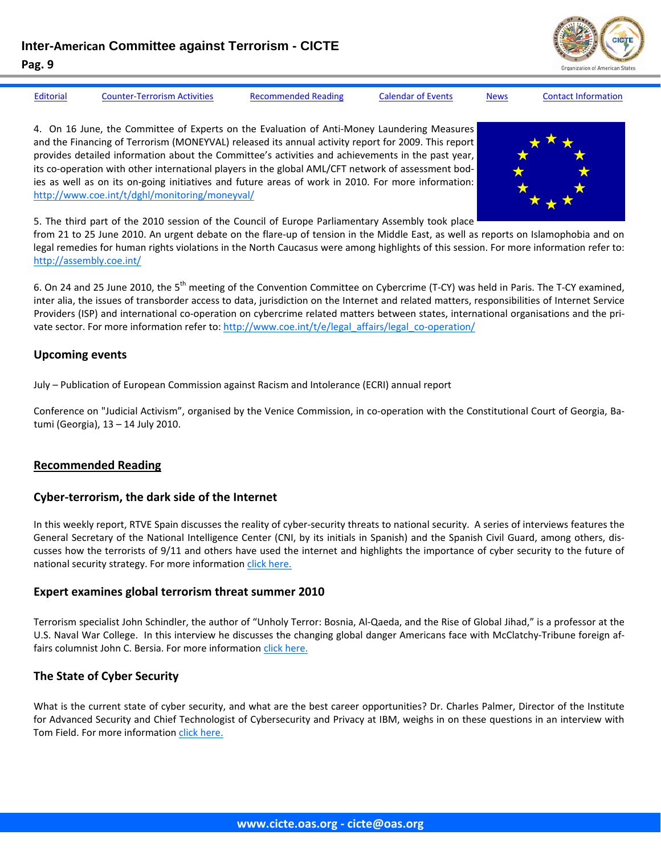

<span id="page-8-0"></span>

[Editorial](#page-1-0) Counter-[Terrorism](#page-3-0) Activities Recommended Reading [Calendar](#page-9-0) of Events [News](#page-10-0) Contact [Information](#page-14-0)

4. On 16 June, the Committee of Experts on the Evaluation of Anti-Money Laundering Measures and the Financing of Terrorism (MONEYVAL) released its annual activity report for 2009. This report provides detailed information about the Committee's activities and achievements in the past year, its co-operation with other international players in the global AML/CFT network of assessment bodies as well as on its on‐going initiatives and future areas of work in 2010. For more information: http://www.coe.int/t/dghl/monitoring/moneyval/



5. The third part of the 2010 session of the Council of Europe Parliamentary Assembly took place

from 21 to 25 June 2010. An urgent debate on the flare-up of tension in the Middle East, as well as reports on Islamophobia and on legal remedies for human rights violations in the North Caucasus were among highlights of this session. For more information refer to: http://assembly.coe.int/

6. On 24 and 25 June 2010, the 5<sup>th</sup> meeting of the Convention Committee on Cybercrime (T-CY) was held in Paris. The T-CY examined, inter alia, the issues of transborder access to data, jurisdiction on the Internet and related matters, responsibilities of Internet Service Providers (ISP) and international co-operation on cybercrime related matters between states, international organisations and the private sector. For more information refer to: http://www.coe.int/t/e/legal\_affairs/legal\_co-operation/

#### **Upcoming events**

July – Publication of European Commission against Racism and Intolerance (ECRI) annual report

Conference on "Judicial Activism", organised by the Venice Commission, in co-operation with the Constitutional Court of Georgia, Batumi (Georgia), 13 – 14 July 2010.

#### **Recommended Reading**

#### **Cyber‐terrorism, the dark side of the Internet**

In this weekly report, RTVE Spain discusses the reality of cyber‐security threats to national security. A series of interviews features the General Secretary of the National Intelligence Center (CNI, by its initials in Spanish) and the Spanish Civil Guard, among others, dis‐ cusses how the terrorists of 9/11 and others have used the internet and highlights the importance of cyber security to the future of national security strategy. For more information click [here.](http://www.rtve.es/mediateca/videos/20100613/informe-semanal-ciberterrorismo-lado-oscuro-red/798175.shtml)

#### **Expert examines global terrorism threat summer 2010**

Terrorism specialist John Schindler, the author of "Unholy Terror: Bosnia, Al‐Qaeda, and the Rise of Global Jihad," is a professor at the U.S. Naval War College. In this interview he discusses the changing global danger Americans face with McClatchy‐Tribune foreign af‐ fairs columnist John C. Bersia. For more information click [here.](http://dailyme.com/story/2010061100002023/expert-examines-global-terrorism-threat-summer.html)

#### **The State of Cyber Security**

What is the current state of cyber security, and what are the best career opportunities? Dr. Charles Palmer, Director of the Institute for Advanced Security and Chief Technologist of Cybersecurity and Privacy at IBM, weighs in on these questions in an interview with Tom Field. For more information click [here.](http://www.bankinfosecurity.com/articles.php?art_id=2628)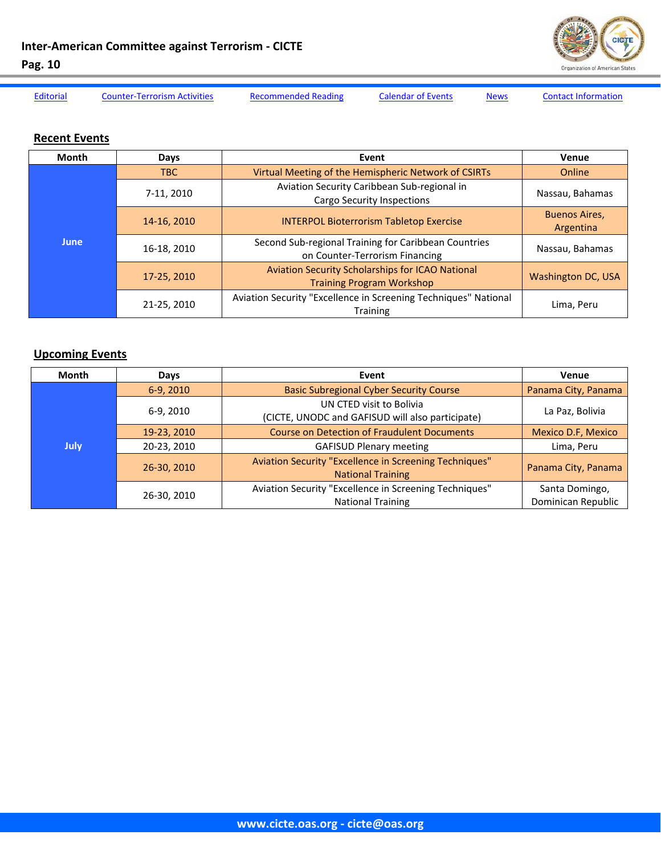<span id="page-9-0"></span>**Inter‐American Committee against Terrorism ‐ CICTE**



**Pag. 10** 

[Editorial](#page-1-0) Counter-[Terrorism](#page-3-0) Activities [Recommended](#page-8-0) Reading Calendar of Events [News](#page-10-0) Contact [Information](#page-14-0)

#### **Recent Events**

| <b>Month</b> | Days        | Event                                                                                  | Venue                             |
|--------------|-------------|----------------------------------------------------------------------------------------|-----------------------------------|
| <b>June</b>  | TBC         | Virtual Meeting of the Hemispheric Network of CSIRTs                                   | Online                            |
|              | 7-11, 2010  | Aviation Security Caribbean Sub-regional in<br><b>Cargo Security Inspections</b>       | Nassau, Bahamas                   |
|              | 14-16, 2010 | <b>INTERPOL Bioterrorism Tabletop Exercise</b>                                         | <b>Buenos Aires,</b><br>Argentina |
|              | 16-18, 2010 | Second Sub-regional Training for Caribbean Countries<br>on Counter-Terrorism Financing | Nassau, Bahamas                   |
|              | 17-25, 2010 | Aviation Security Scholarships for ICAO National<br><b>Training Program Workshop</b>   | Washington DC, USA                |
|              | 21-25, 2010 | Aviation Security "Excellence in Screening Techniques" National<br><b>Training</b>     | Lima, Peru                        |

#### **Upcoming Events**

| Month | Days        | Event                                                                              | Venue                                |
|-------|-------------|------------------------------------------------------------------------------------|--------------------------------------|
| July  | 6-9, 2010   | <b>Basic Subregional Cyber Security Course</b>                                     | Panama City, Panama                  |
|       | 6-9, 2010   | UN CTED visit to Bolivia<br>(CICTE, UNODC and GAFISUD will also participate)       | La Paz, Bolivia                      |
|       | 19-23, 2010 | <b>Course on Detection of Fraudulent Documents</b>                                 | Mexico D.F, Mexico                   |
|       | 20-23, 2010 | <b>GAFISUD Plenary meeting</b>                                                     | Lima, Peru                           |
|       | 26-30, 2010 | Aviation Security "Excellence in Screening Techniques"<br><b>National Training</b> | Panama City, Panama                  |
|       | 26-30, 2010 | Aviation Security "Excellence in Screening Techniques"<br><b>National Training</b> | Santa Domingo,<br>Dominican Republic |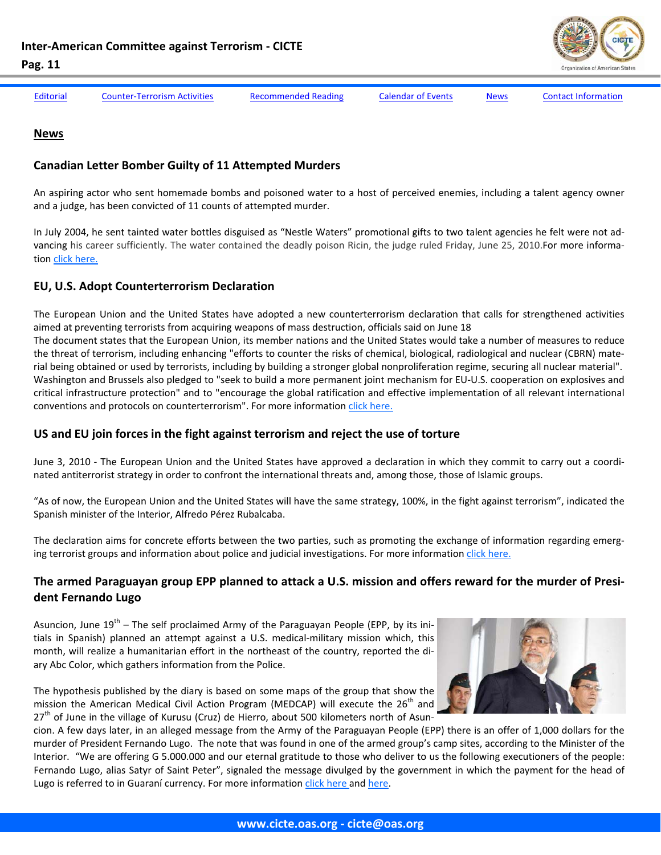

<span id="page-10-0"></span>

[Editorial](#page-1-0) Counter-[Terrorism](#page-3-0) Activities [Recommended](#page-8-0) Reading [Calendar](#page-9-0) of Events News Contact [Information](#page-14-0)

#### **News**

#### **Canadian Letter Bomber Guilty of 11 Attempted Murders**

An aspiring actor who sent homemade bombs and poisoned water to a host of perceived enemies, including a talent agency owner and a judge, has been convicted of 11 counts of attempted murder.

In July 2004, he sent tainted water bottles disguised as "Nestle Waters" promotional gifts to two talent agencies he felt were not ad‐ vancing his career sufficiently. The water contained the deadly poison Ricin, the judge ruled Friday, June 25, 2010.For more informa‐ tion click [here.](http://www.thestar.com/news/gta/crime/article/828768--letter-bomber-guilty-of-11-attempted-murders)

#### **EU, U.S. Adopt Counterterrorism Declaration**

The European Union and the United States have adopted a new counterterrorism declaration that calls for strengthened activities aimed at preventing terrorists from acquiring weapons of mass destruction, officials said on June 18 The document states that the European Union, its member nations and the United States would take a number of measures to reduce the threat of terrorism, including enhancing "efforts to counter the risks of chemical, biological, radiological and nuclear (CBRN) material being obtained or used by terrorists, including by building a stronger global nonproliferation regime, securing all nuclear material". Washington and Brussels also pledged to "seek to build a more permanent joint mechanism for EU‐U.S. cooperation on explosives and critical infrastructure protection" and to "encourage the global ratification and effective implementation of all relevant international conventions and protocols on counterterrorism". For more information click [here.](http://gsn.nti.org/gsn/nw_20100607_5394.php)

#### **US and EU join forces in the fight against terrorism and reject the use of torture**

June 3, 2010 - The European Union and the United States have approved a declaration in which they commit to carry out a coordinated antiterrorist strategy in order to confront the international threats and, among those, those of Islamic groups.

"As of now, the European Union and the United States will have the same strategy, 100%, in the fight against terrorism", indicated the Spanish minister of the Interior, Alfredo Pérez Rubalcaba.

The declaration aims for concrete efforts between the two parties, such as promoting the exchange of information regarding emerging terrorist groups and information about police and judicial investigations. For more information click [here.](http://www.elmundo.es/elmundo/2010/06/03/union_europea/1275574677.html)

#### The armed Paraguayan group EPP planned to attack a U.S. mission and offers reward for the murder of Presi**dent Fernando Lugo**

Asuncion, June  $19^{th}$  – The self proclaimed Army of the Paraguayan People (EPP, by its initials in Spanish) planned an attempt against a U.S. medical-military mission which, this month, will realize a humanitarian effort in the northeast of the country, reported the di‐ ary Abc Color, which gathers information from the Police.

The hypothesis published by the diary is based on some maps of the group that show the mission the American Medical Civil Action Program (MEDCAP) will execute the  $26<sup>th</sup>$  and 27<sup>th</sup> of June in the village of Kurusu (Cruz) de Hierro, about 500 kilometers north of Asun-



cion. A few days later, in an alleged message from the Army of the Paraguayan People (EPP) there is an offer of 1,000 dollars for the murder of President Fernando Lugo. The note that was found in one of the armed group's camp sites, according to the Minister of the Interior. "We are offering G 5.000.000 and our eternal gratitude to those who deliver to us the following executioners of the people: Fernando Lugo, alias Satyr of Saint Peter", signaled the message divulged by the government in which the payment for the head of Lugo is referred to in Guaraní currency. For more information click [here](http://www.google.com/hostednews/epa/article/ALeqM5hD32s0Dw3-WPo3rrW4JvShH7HNSw) and [here.](http://www.eltiempo.com/mundo/latinoamerica/guerrilleros-paraguayos-ofrece-recompensa-por-asesinar-a-fernando-lugo_7766242-1)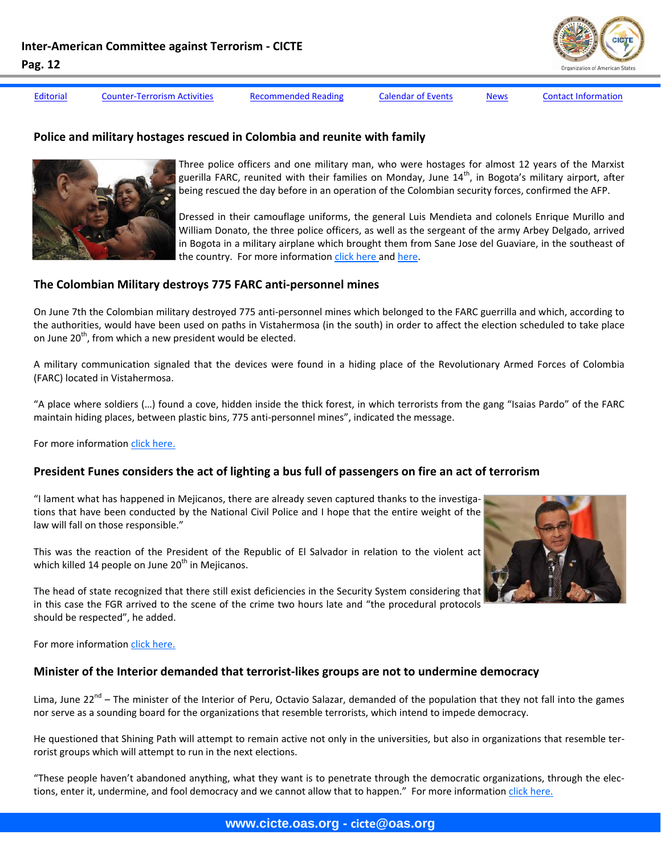[Editorial](#page-1-0) Counter-[Terrorism](#page-3-0) Activities [Recommended](#page-8-0) Reading [Calendar](#page-9-0) of Events [News](#page-10-0) Contact [Information](#page-14-0)

#### **Police and military hostages rescued in Colombia and reunite with family**



Three police officers and one military man, who were hostages for almost 12 years of the Marxist guerilla FARC, reunited with their families on Monday, June  $14^{\text{th}}$ , in Bogota's military airport, after being rescued the day before in an operation of the Colombian security forces, confirmed the AFP.

Dressed in their camouflage uniforms, the general Luis Mendieta and colonels Enrique Murillo and William Donato, the three police officers, as well as the sergeant of the army Arbey Delgado, arrived in Bogota in a military airplane which brought them from Sane Jose del Guaviare, in the southeast of the country. For more information click [here](http://www.google.com/hostednews/afp/article/ALeqM5jazH5pgE05UzNA5koqPRczoLn5Qg) and [here.](http://www.elpais.com/articulo/internacional/Emotivo/encuentro/rehenes/liberados/familiares/Colombia/elpepuint/20100614elpepuint_7/Tes)

#### **The Colombian Military destroys 775 FARC anti‐personnel mines**

On June 7th the Colombian military destroyed 775 anti‐personnel mines which belonged to the FARC guerrilla and which, according to the authorities, would have been used on paths in Vistahermosa (in the south) in order to affect the election scheduled to take place on June  $20<sup>th</sup>$ , from which a new president would be elected.

A military communication signaled that the devices were found in a hiding place of the Revolutionary Armed Forces of Colombia (FARC) located in Vistahermosa.

"A place where soldiers (…) found a cove, hidden inside the thick forest, in which terrorists from the gang "Isaias Pardo" of the FARC maintain hiding places, between plastic bins, 775 anti‐personnel mines", indicated the message.

For more information click [here.](http://www.google.com/hostednews/epa/article/ALeqM5iru5DAV9-wlPs6oUSfbdbcAuwi8g)

# President Funes considers the act of lighting a bus full of passengers on fire an act of terrorism

"I lament what has happened in Mejicanos, there are already seven captured thanks to the investiga‐ tions that have been conducted by the National Civil Police and I hope that the entire weight of the law will fall on those responsible."

This was the reaction of the President of the Republic of El Salvador in relation to the violent act which killed 14 people on June  $20<sup>th</sup>$  in Mejicanos.

The head of state recognized that there still exist deficiencies in the Security System considering that in this case the FGR arrived to the scene of the crime two hours late and "the procedural protocols should be respected", he added.

For more information click [here.](http://www.lapagina.com.sv/nacionales/34349/2010/06/21/Presidente-Funes-califica-de-acto-terrorista-el-incendio-del-microbus-con-pasajeros-dentro)

### **Minister of the Interior demanded that terrorist‐likes groups are not to undermine democracy**

Lima, June 22<sup>nd</sup> – The minister of the Interior of Peru, Octavio Salazar, demanded of the population that they not fall into the games nor serve as a sounding board for the organizations that resemble terrorists, which intend to impede democracy.

He questioned that Shining Path will attempt to remain active not only in the universities, but also in organizations that resemble terrorist groups which will attempt to run in the next elections.

"These people haven't abandoned anything, what they want is to penetrate through the democratic organizations, through the elec‐ tions, enter it, undermine, and fool democracy and we cannot allow that to happen." For more information click [here.](http://www.andina.com.pe/Espanol/Noticia.aspx?id=UnT/Raicqso=)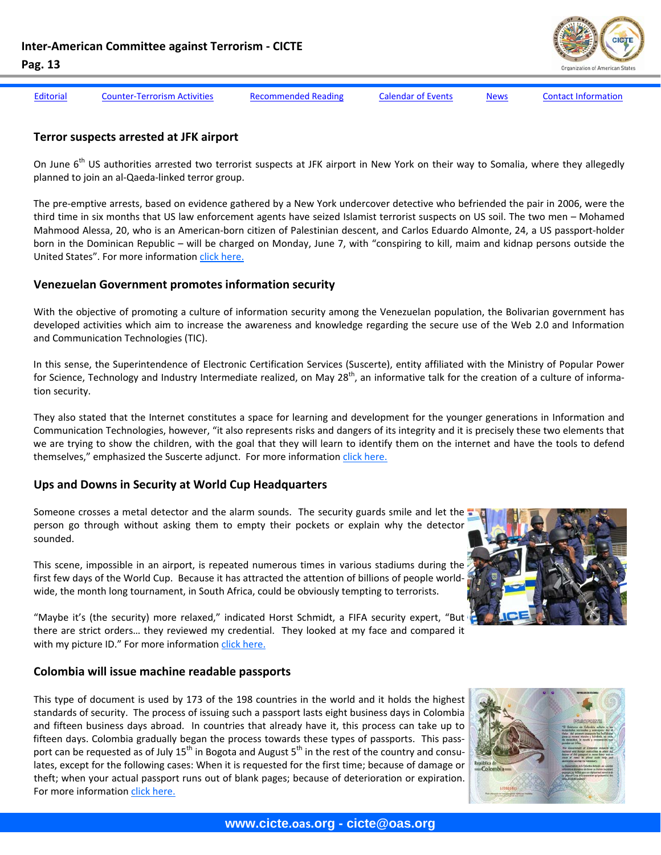

[Editorial](#page-1-0) Counter-[Terrorism](#page-3-0) Activities [Recommended](#page-8-0) Reading [Calendar](#page-9-0) of Events [News](#page-10-0) Contact [Information](#page-14-0)

#### **Terror suspects arrested at JFK airport**

On June 6<sup>th</sup> US authorities arrested two terrorist suspects at JFK airport in New York on their way to Somalia, where they allegedly planned to join an al‐Qaeda‐linked terror group.

The pre-emptive arrests, based on evidence gathered by a New York undercover detective who befriended the pair in 2006, were the third time in six months that US law enforcement agents have seized Islamist terrorist suspects on US soil. The two men – Mohamed Mahmood Alessa, 20, who is an American‐born citizen of Palestinian descent, and Carlos Eduardo Almonte, 24, a US passport‐holder born in the Dominican Republic – will be charged on Monday, June 7, with "conspiring to kill, maim and kidnap persons outside the United States". For more information click [here.](http://www.ft.com/cms/s/0/fea65ad8-71bb-11df-8eec-00144feabdc0.html)

#### **Venezuelan Government promotes information security**

With the objective of promoting a culture of information security among the Venezuelan population, the Bolivarian government has developed activities which aim to increase the awareness and knowledge regarding the secure use of the Web 2.0 and Information and Communication Technologies (TIC).

In this sense, the Superintendence of Electronic Certification Services (Suscerte), entity affiliated with the Ministry of Popular Power for Science, Technology and Industry Intermediate realized, on May 28<sup>th</sup>, an informative talk for the creation of a culture of information security.

They also stated that the Internet constitutes a space for learning and development for the younger generations in Information and Communication Technologies, however, "it also represents risks and dangers of its integrity and it is precisely these two elements that we are trying to show the children, with the goal that they will learn to identify them on the internet and have the tools to defend themselves," emphasized the Suscerte adjunct. For more information click [here.](https://www.vencert.gob.ve/index.php?option=com_content&view=article&id=466:gobierno-bolivariano-promueve-la-seguridad-de-la-informacion&catid=35:eventos-del-vencert&Itemid=59)

#### **Ups and Downs in Security at World Cup Headquarters**

Someone crosses a metal detector and the alarm sounds. The security guards smile and let the person go through without asking them to empty their pockets or explain why the detector sounded.

This scene, impossible in an airport, is repeated numerous times in various stadiums during the first few days of the World Cup. Because it has attracted the attention of billions of people worldwide, the month long tournament, in South Africa, could be obviously tempting to terrorists.



"Maybe it's (the security) more relaxed," indicated Horst Schmidt, a FIFA security expert, "But there are strict orders… they reviewed my credential. They looked at my face and compared it with my picture ID." For more information click [here.](http://www.vefutbol.com.mx/notas/26888.html)

#### **Colombia will issue machine readable passports**

This type of document is used by 173 of the 198 countries in the world and it holds the highest standards of security. The process of issuing such a passport lasts eight business days in Colombia and fifteen business days abroad. In countries that already have it, this process can take up to fifteen days. Colombia gradually began the process towards these types of passports. This passport can be requested as of July  $15^{th}$  in Bogota and August  $5^{th}$  in the rest of the country and consulates, except for the following cases: When it is requested for the first time; because of damage or theft; when your actual passport runs out of blank pages; because of deterioration or expiration. For more information click [here.](http://colombiacolombiano.com/Colombia-expedira-pasaportes-de-lectura-mecanica/40)

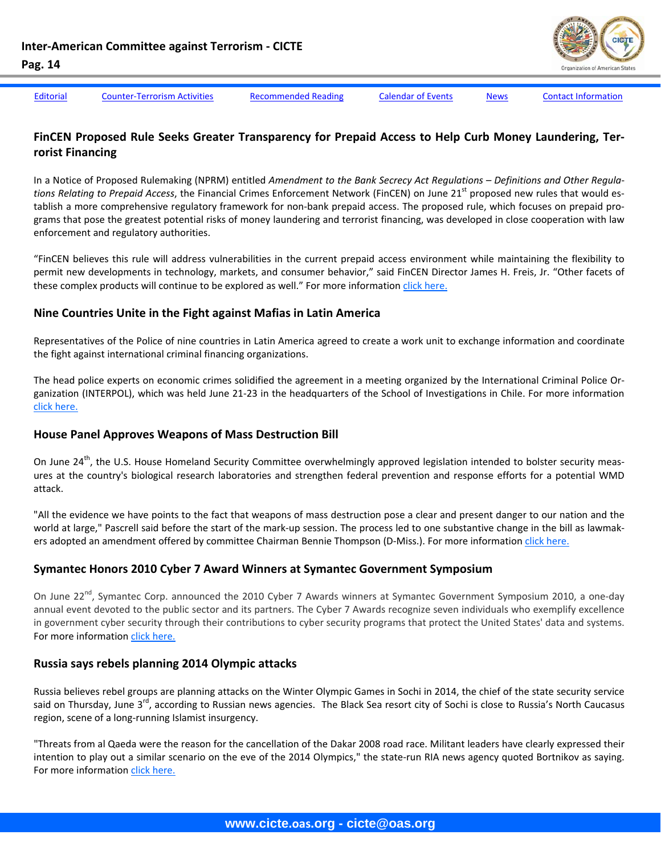

[Editorial](#page-1-0) Counter-[Terrorism](#page-3-0) Activities [Recommended](#page-8-0) Reading [Calendar](#page-9-0) of Events [News](#page-10-0) Contact [Information](#page-14-0)

#### **FinCEN Proposed Rule Seeks Greater Transparency for Prepaid Access to Help Curb Money Laundering, Ter‐ rorist Financing**

In a Notice of Proposed Rulemaking (NPRM) entitled *Amendment to the Bank Secrecy Act Regulations – Definitions and Other Regula‐ tions Relating to Prepaid Access*, the Financial Crimes Enforcement Network (FinCEN) on June 21st proposed new rules that would es‐ tablish a more comprehensive regulatory framework for non-bank prepaid access. The proposed rule, which focuses on prepaid programs that pose the greatest potential risks of money laundering and terrorist financing, was developed in close cooperation with law enforcement and regulatory authorities.

"FinCEN believes this rule will address vulnerabilities in the current prepaid access environment while maintaining the flexibility to permit new developments in technology, markets, and consumer behavior," said FinCEN Director James H. Freis, Jr. "Other facets of these complex products will continue to be explored as well." For more information click [here.](http://www.fincen.gov/news_room/nr/html/20100618.html)

#### **Nine Countries Unite in the Fight against Mafias in Latin America**

Representatives of the Police of nine countries in Latin America agreed to create a work unit to exchange information and coordinate the fight against international criminal financing organizations.

The head police experts on economic crimes solidified the agreement in a meeting organized by the International Criminal Police Or‐ ganization (INTERPOL), which was held June 21-23 in the headquarters of the School of Investigations in Chile. For more information click [here.](http://www.eluniversal.com.mx/notas/689770.html)

#### **House Panel Approves Weapons of Mass Destruction Bill**

On June 24<sup>th</sup>, the U.S. House Homeland Security Committee overwhelmingly approved legislation intended to bolster security measures at the country's biological research laboratories and strengthen federal prevention and response efforts for a potential WMD attack.

"All the evidence we have points to the fact that weapons of mass destruction pose a clear and present danger to our nation and the world at large," Pascrell said before the start of the mark‐up session. The process led to one substantive change in the bill as lawmak‐ ers adopted an amendment offered by committee Chairman Bennie Thompson (D‐Miss.). For more information click [here.](http://gsn.nti.org/gsn/nw_20100624_5600.php)

#### **Symantec Honors 2010 Cyber 7 Award Winners at Symantec Government Symposium**

On June 22<sup>nd</sup>, Symantec Corp. announced the 2010 Cyber 7 Awards winners at Symantec Government Symposium 2010, a one-day annual event devoted to the public sector and its partners. The Cyber 7 Awards recognize seven individuals who exemplify excellence in government cyber security through their contributions to cyber security programs that protect the United States' data and systems. For more information click [here.](http://www.marketwatch.com/story/symantec-honors-2010-cyber-7-award-winners-at-symantec-government-symposium-2010-06-22?reflink=MW_news_stmp)

#### **Russia says rebels planning 2014 Olympic attacks**

Russia believes rebel groups are planning attacks on the Winter Olympic Games in Sochi in 2014, the chief of the state security service said on Thursday, June 3<sup>rd</sup>, according to Russian news agencies. The Black Sea resort city of Sochi is close to Russia's North Caucasus region, scene of a long‐running Islamist insurgency.

"Threats from al Qaeda were the reason for the cancellation of the Dakar 2008 road race. Militant leaders have clearly expressed their intention to play out a similar scenario on the eve of the 2014 Olympics," the state-run RIA news agency quoted Bortnikov as saying. For more information click [here.](http://news.yahoo.com/s/nm/20100603/sp_nm/us_russia_security_olympics_1)